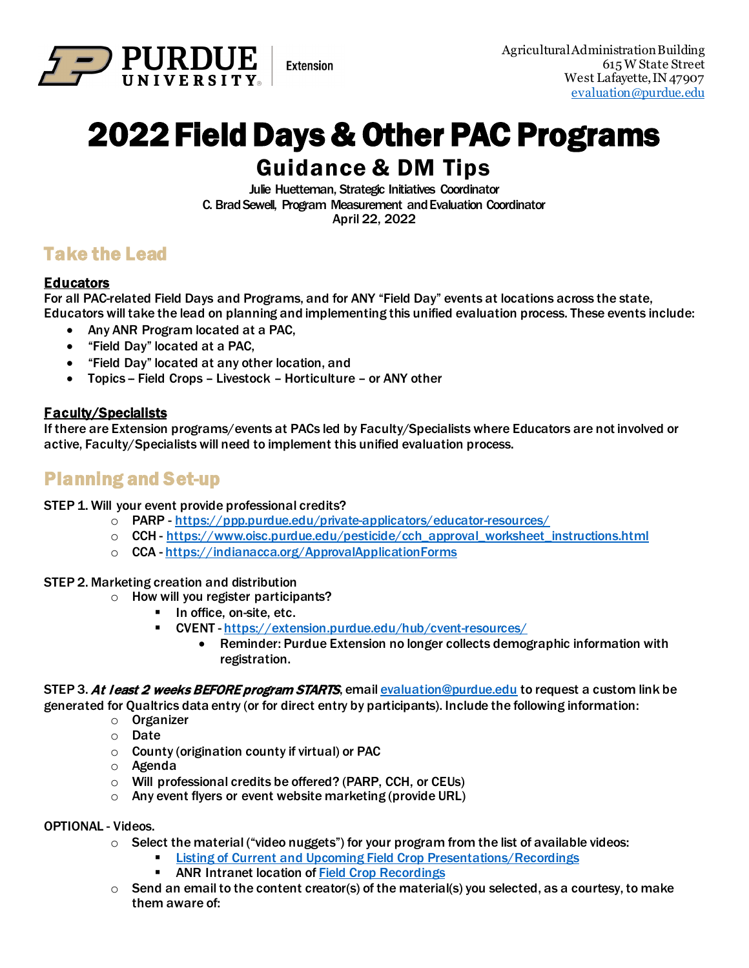

# 2022 Field Days & Other PAC Programs Guidance & DM Tips

**Extension** 

Julie Huetteman, Strategic Initiatives Coordinator C. Brad Sewell, Program Measurement and Evaluation Coordinator April 22, 2022

## Take the Lead

### **Educators**

For all PAC-related Field Days and Programs, and for ANY "Field Day" events at locations across the state, Educators will take the lead on planning and implementing this unified evaluation process. These events include:

- Any ANR Program located at a PAC,
- "Field Day" located at a PAC,
- "Field Day" located at any other location, and
- Topics Field Crops Livestock Horticulture or ANY other

### Faculty/Specialists

If there are Extension programs/events at PACs led by Faculty/Specialists where Educators are not involved or active, Faculty/Specialists will need to implement this unified evaluation process.

## Planning and Set-up

STEP 1. Will your event provide professional credits?

- o PARP -<https://ppp.purdue.edu/private-applicators/educator-resources/>
- o CCH - [https://www.oisc.purdue.edu/pesticide/cch\\_approval\\_worksheet\\_instructions.html](https://www.oisc.purdue.edu/pesticide/cch_approval_worksheet_instructions.html)
- o CCA <https://indianacca.org/ApprovalApplicationForms>

#### STEP 2. Marketing creation and distribution

- $\circ$  How will you register participants?
	- In office, on-site, etc.
	- CVENT  [https://extension.purdue.edu/hub/cvent-resources/](https://maillinks.purdue.edu/t/40613816/1446594209/85507299/0/122736/?x=1d89c57c)
		- Reminder: Purdue Extension no longer collects demographic information with registration.

STEP 3. At least 2 weeks BEFORE program STARTS, emai[l evaluation@purdue.edu](mailto:evaluation@purdue.edu) to request a custom link be generated for Qualtrics data entry (or for direct entry by participants). Include the following information:

- o Organizer
	- o Date
	- $\circ$  County (origination county if virtual) or PAC
	- o Agenda
	- o Will professional credits be offered? (PARP, CCH, or CEUs)
	- o Any event flyers or event website marketing (provide URL)

#### OPTIONAL - Videos.

- $\circ$  Select the material ("video nuggets") for your program from the list of available videos:
	- [Listing of Current and Upcoming Field Crop Presentations/Recordings](https://app.box.com/s/jgahq55y9erdc4ige237t6j09x7q8nfq)
	- ANR Intranet location o[f Field Crop Recordings](https://extension.purdue.edu/hub/anr/field-crops-presentations/)
- $\circ$  Send an email to the content creator(s) of the material(s) you selected, as a courtesy, to make them aware of: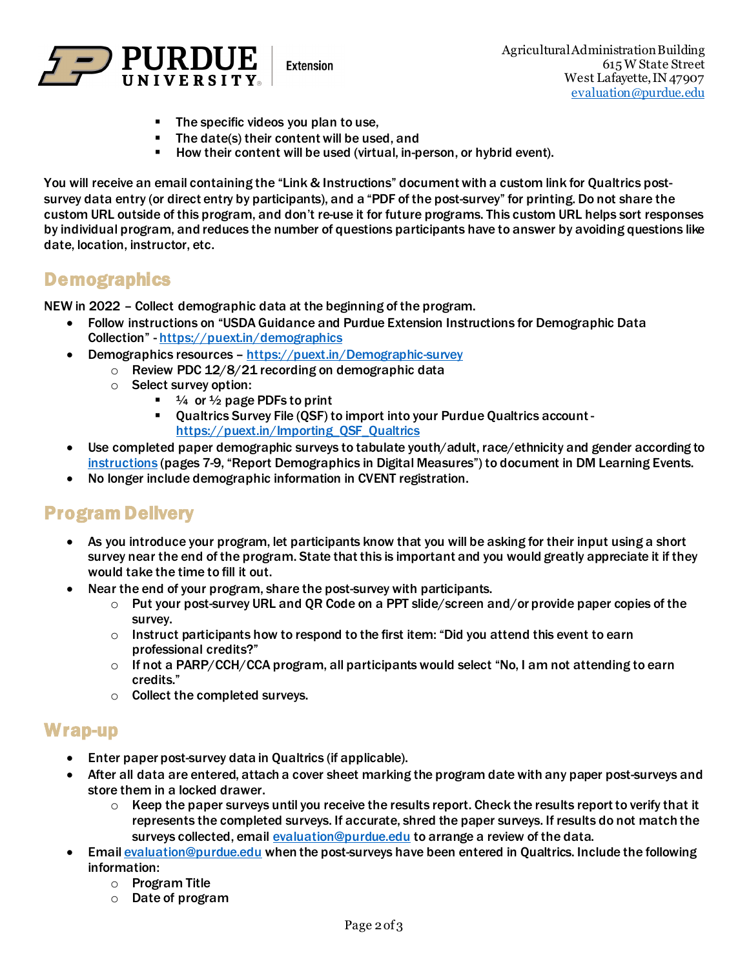

**Extension** 

- **The specific videos you plan to use,**
- The date(s) their content will be used, and
- **How their content will be used (virtual, in-person, or hybrid event).**

You will receive an email containing the "Link & Instructions" document with a custom link for Qualtrics postsurvey data entry (or direct entry by participants), and a "PDF of the post-survey" for printing. Do not share the custom URL outside of this program, and don't re-use it for future programs. This custom URL helps sort responses by individual program, and reduces the number of questions participants have to answer by avoiding questions like date, location, instructor, etc.

## **Demographics**

NEW in 2022 – Collect demographic data at the beginning of the program.

- Follow instructions on "USDA Guidance and Purdue Extension Instructions for Demographic Data Collection" [- https://puext.in/demographics](https://puext.in/demographics)
- Demographics resources <https://puext.in/Demographic-survey>
	- $\circ$  Review PDC 12/8/21 recording on demographic data
	- o Select survey option:
		- $\blacksquare$   $\frac{1}{4}$  or  $\frac{1}{2}$  page PDFs to print
		- Qualtrics Survey File (QSF) to import into your Purdue Qualtrics account [https://puext.in/Importing\\_QSF\\_Qualtrics](https://puext.in/Importing_QSF_Qualtrics)
- Use completed paper demographic surveys to tabulate youth/adult, race/ethnicity and gender according to [instructions](https://puext.in/demographics) (pages 7-9, "Report Demographics in Digital Measures") to document in DM Learning Events.
- No longer include demographic information in CVENT registration.

## Program Delivery

- As you introduce your program, let participants know that you will be asking for their input using a short survey near the end of the program. State that this is important and you would greatly appreciate it if they would take the time to fill it out.
- Near the end of your program, share the post-survey with participants.
	- o Put your post-survey URL and QR Code on a PPT slide/screen and/or provide paper copies of the survey.
	- $\circ$  Instruct participants how to respond to the first item: "Did you attend this event to earn professional credits?"
	- o If not a PARP/CCH/CCA program, all participants would select "No, I am not attending to earn credits."
	- $\circ$  Collect the completed surveys.

## Wrap-up

- Enter paper post-survey data in Qualtrics (if applicable).
- After all data are entered, attach a cover sheet marking the program date with any paper post-surveys and store them in a locked drawer.
	- $\circ$  Keep the paper surveys until you receive the results report. Check the results report to verify that it represents the completed surveys. If accurate, shred the paper surveys. If results do not match the surveys collected, email [evaluation@purdue.edu](mailto:evaluation@purdue.edu) to arrange a review of the data.
- Emai[l evaluation@purdue.edu](mailto:evaluation@purdue.edu) when the post-surveys have been entered in Qualtrics. Include the following information:
	- o Program Title
	- o Date of program